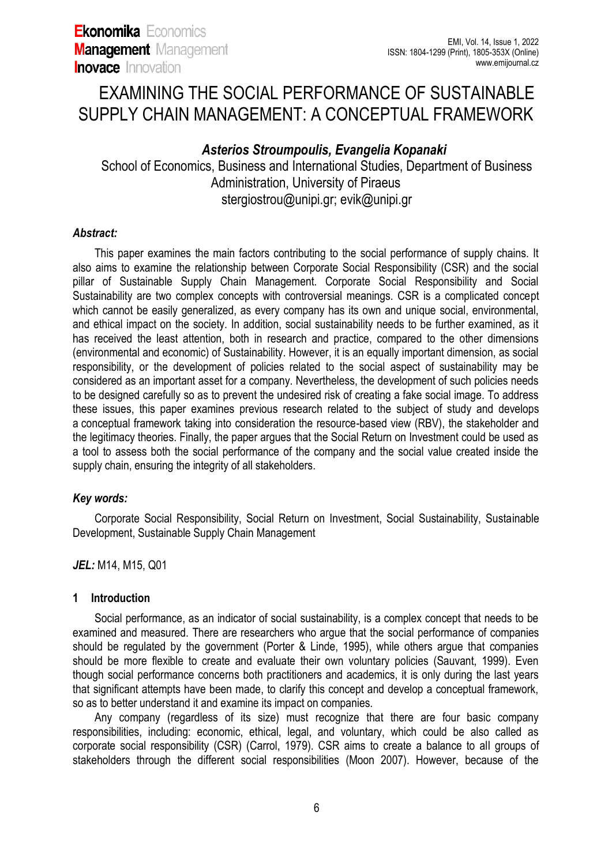# EXAMINING THE SOCIAL PERFORMANCE OF SUSTAINABLE SUPPLY CHAIN MANAGEMENT: A CONCEPTUAL FRAMEWORK

## *Asterios Stroumpoulis, Evangelia Kopanaki* School of Economics, Business and International Studies, Department of Business Administration, University of Piraeus

stergiostrou@unipi.gr; evik@unipi.gr

## *Abstract:*

This paper examines the main factors contributing to the social performance of supply chains. It also aims to examine the relationship between Corporate Social Responsibility (CSR) and the social pillar of Sustainable Supply Chain Management. Corporate Social Responsibility and Social Sustainability are two complex concepts with controversial meanings. CSR is a complicated concept which cannot be easily generalized, as every company has its own and unique social, environmental, and ethical impact on the society. In addition, social sustainability needs to be further examined, as it has received the least attention, both in research and practice, compared to the other dimensions (environmental and economic) of Sustainability. However, it is an equally important dimension, as social responsibility, or the development of policies related to the social aspect of sustainability may be considered as an important asset for a company. Nevertheless, the development of such policies needs to be designed carefully so as to prevent the undesired risk of creating a fake social image. To address these issues, this paper examines previous research related to the subject of study and develops a conceptual framework taking into consideration the resource-based view (RBV), the stakeholder and the legitimacy theories. Finally, the paper argues that the Social Return on Investment could be used as a tool to assess both the social performance of the company and the social value created inside the supply chain, ensuring the integrity of all stakeholders.

## *Key words:*

Corporate Social Responsibility, Social Return on Investment, Social Sustainability, Sustainable Development, Sustainable Supply Chain Management

## *JEL:* M14, M15, Q01

## **1 Introduction**

Social performance, as an indicator of social sustainability, is a complex concept that needs to be examined and measured. There are researchers who argue that the social performance of companies should be regulated by the government (Porter & Linde, 1995), while others argue that companies should be more flexible to create and evaluate their own voluntary policies (Sauvant, 1999). Even though social performance concerns both practitioners and academics, it is only during the last years that significant attempts have been made, to clarify this concept and develop a conceptual framework, so as to better understand it and examine its impact on companies.

Any company (regardless of its size) must recognize that there are four basic company responsibilities, including: economic, ethical, legal, and voluntary, which could be also called as corporate social responsibility (CSR) (Carrol, 1979). CSR aims to create a balance to all groups of stakeholders through the different social responsibilities (Moon 2007). However, because of the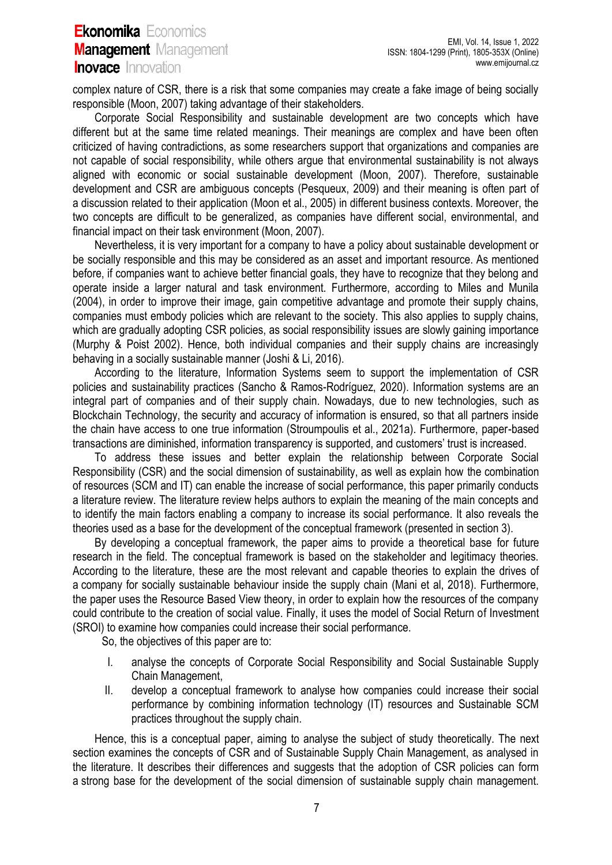complex nature of CSR, there is a risk that some companies may create a fake image of being socially responsible (Moon, 2007) taking advantage of their stakeholders.

Corporate Social Responsibility and sustainable development are two concepts which have different but at the same time related meanings. Their meanings are complex and have been often criticized of having contradictions, as some researchers support that organizations and companies are not capable of social responsibility, while others argue that environmental sustainability is not always aligned with economic or social sustainable development (Moon, 2007). Therefore, sustainable development and CSR are ambiguous concepts (Pesqueux, 2009) and their meaning is often part of a discussion related to their application (Moon et al., 2005) in different business contexts. Moreover, the two concepts are difficult to be generalized, as companies have different social, environmental, and financial impact on their task environment (Moon, 2007).

Nevertheless, it is very important for a company to have a policy about sustainable development or be socially responsible and this may be considered as an asset and important resource. As mentioned before, if companies want to achieve better financial goals, they have to recognize that they belong and operate inside a larger natural and task environment. Furthermore, according to Miles and Munila (2004), in order to improve their image, gain competitive advantage and promote their supply chains, companies must embody policies which are relevant to the society. This also applies to supply chains, which are gradually adopting CSR policies, as social responsibility issues are slowly gaining importance (Murphy & Poist 2002). Hence, both individual companies and their supply chains are increasingly behaving in a socially sustainable manner (Joshi & Li, 2016).

According to the literature, Information Systems seem to support the implementation of CSR policies and sustainability practices (Sancho & Ramos-Rodríguez, 2020). Information systems are an integral part of companies and of their supply chain. Nowadays, due to new technologies, such as Blockchain Technology, the security and accuracy of information is ensured, so that all partners inside the chain have access to one true information (Stroumpoulis et al., 2021a). Furthermore, paper-based transactions are diminished, information transparency is supported, and customers' trust is increased.

To address these issues and better explain the relationship between Corporate Social Responsibility (CSR) and the social dimension of sustainability, as well as explain how the combination of resources (SCM and IT) can enable the increase of social performance, this paper primarily conducts a literature review. The literature review helps authors to explain the meaning of the main concepts and to identify the main factors enabling a company to increase its social performance. It also reveals the theories used as a base for the development of the conceptual framework (presented in section 3).

By developing a conceptual framework, the paper aims to provide a theoretical base for future research in the field. The conceptual framework is based on the stakeholder and legitimacy theories. According to the literature, these are the most relevant and capable theories to explain the drives of a company for socially sustainable behaviour inside the supply chain (Mani et al, 2018). Furthermore, the paper uses the Resource Based View theory, in order to explain how the resources of the company could contribute to the creation of social value. Finally, it uses the model of Social Return of Investment (SROI) to examine how companies could increase their social performance.

So, the objectives of this paper are to:

- I. analyse the concepts of Corporate Social Responsibility and Social Sustainable Supply Chain Management,
- II. develop a conceptual framework to analyse how companies could increase their social performance by combining information technology (IT) resources and Sustainable SCM practices throughout the supply chain.

Hence, this is a conceptual paper, aiming to analyse the subject of study theoretically. The next section examines the concepts of CSR and of Sustainable Supply Chain Management, as analysed in the literature. It describes their differences and suggests that the adoption of CSR policies can form a strong base for the development of the social dimension of sustainable supply chain management.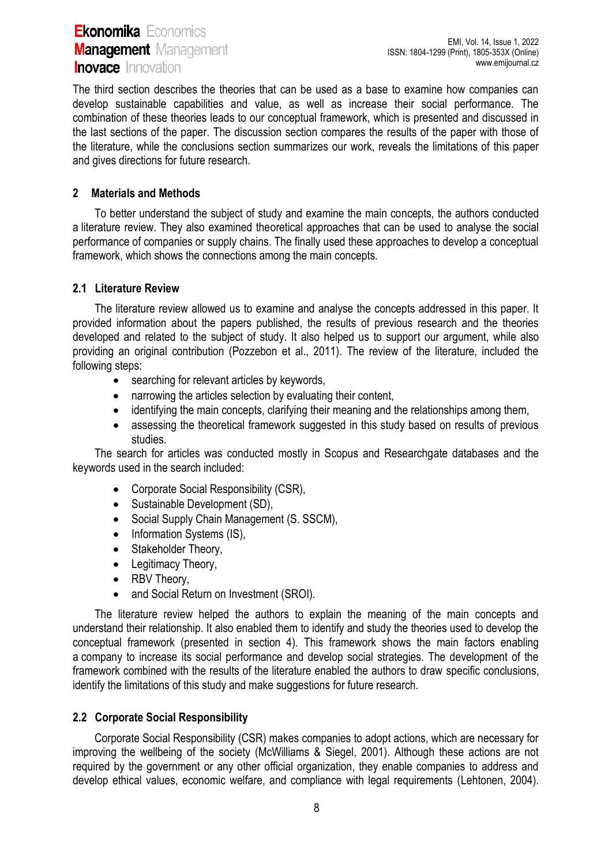The third section describes the theories that can be used as a base to examine how companies can develop sustainable capabilities and value, as well as increase their social performance. The combination of these theories leads to our conceptual framework, which is presented and discussed in the last sections of the paper. The discussion section compares the results of the paper with those of the literature, while the conclusions section summarizes our work, reveals the limitations of this paper and gives directions for future research.

## **2 Materials and Methods**

To better understand the subject of study and examine the main concepts, the authors conducted a literature review. They also examined theoretical approaches that can be used to analyse the social performance of companies or supply chains. The finally used these approaches to develop a conceptual framework, which shows the connections among the main concepts.

## **2.1 Literature Review**

The literature review allowed us to examine and analyse the concepts addressed in this paper. It provided information about the papers published, the results of previous research and the theories developed and related to the subject of study. It also helped us to support our argument, while also providing an original contribution (Pozzebon et al., 2011). The review of the literature, included the following steps:

- searching for relevant articles by keywords,
- narrowing the articles selection by evaluating their content,
- identifying the main concepts, clarifying their meaning and the relationships among them,
- assessing the theoretical framework suggested in this study based on results of previous studies.

The search for articles was conducted mostly in Scopus and Researchgate databases and the keywords used in the search included:

- Corporate Social Responsibility (CSR),
- Sustainable Development (SD),
- Social Supply Chain Management (S. SSCM),
- Information Systems (IS),
- Stakeholder Theory,
- Legitimacy Theory,
- RBV Theory,
- and Social Return on Investment (SROI).

The literature review helped the authors to explain the meaning of the main concepts and understand their relationship. It also enabled them to identify and study the theories used to develop the conceptual framework (presented in section 4). This framework shows the main factors enabling a company to increase its social performance and develop social strategies. The development of the framework combined with the results of the literature enabled the authors to draw specific conclusions, identify the limitations of this study and make suggestions for future research.

## **2.2 Corporate Social Responsibility**

Corporate Social Responsibility (CSR) makes companies to adopt actions, which are necessary for improving the wellbeing of the society (McWilliams & Siegel, 2001). Although these actions are not required by the government or any other official organization, they enable companies to address and develop ethical values, economic welfare, and compliance with legal requirements (Lehtonen, 2004).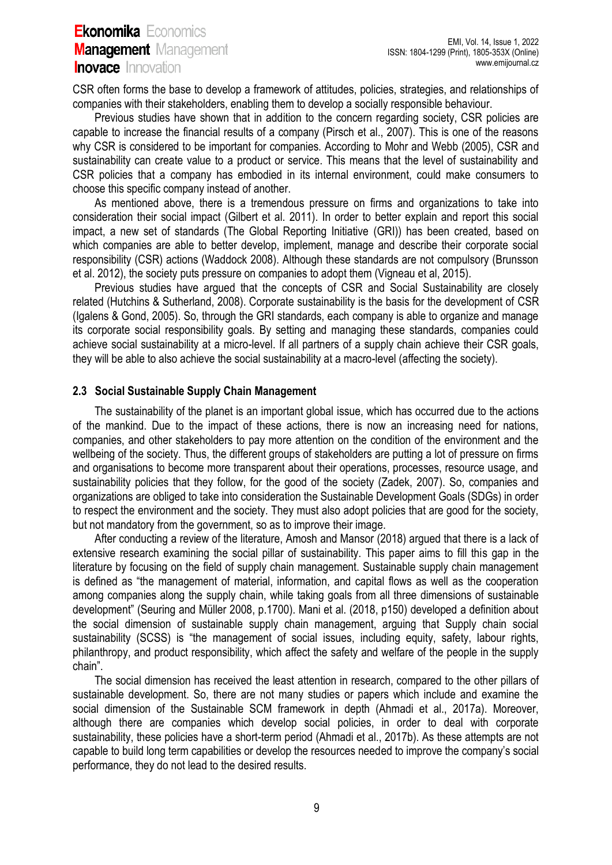CSR often forms the base to develop a framework of attitudes, policies, strategies, and relationships of companies with their stakeholders, enabling them to develop a socially responsible behaviour.

Previous studies have shown that in addition to the concern regarding society, CSR policies are capable to increase the financial results of a company (Pirsch et al., 2007). This is one of the reasons why CSR is considered to be important for companies. According to Mohr and Webb (2005), CSR and sustainability can create value to a product or service. This means that the level of sustainability and CSR policies that a company has embodied in its internal environment, could make consumers to choose this specific company instead of another.

As mentioned above, there is a tremendous pressure on firms and organizations to take into consideration their social impact (Gilbert et al. 2011). In order to better explain and report this social impact, a new set of standards (The Global Reporting Initiative (GRI)) has been created, based on which companies are able to better develop, implement, manage and describe their corporate social responsibility (CSR) actions (Waddock 2008). Although these standards are not compulsory (Brunsson et al. 2012), the society puts pressure on companies to adopt them (Vigneau et al, 2015).

Previous studies have argued that the concepts of CSR and Social Sustainability are closely related (Hutchins & Sutherland, 2008). Corporate sustainability is the basis for the development of CSR (Igalens & Gond, 2005). So, through the GRI standards, each company is able to organize and manage its corporate social responsibility goals. By setting and managing these standards, companies could achieve social sustainability at a micro-level. If all partners of a supply chain achieve their CSR goals, they will be able to also achieve the social sustainability at a macro-level (affecting the society).

### **2.3 Social Sustainable Supply Chain Management**

The sustainability of the planet is an important global issue, which has occurred due to the actions of the mankind. Due to the impact of these actions, there is now an increasing need for nations, companies, and other stakeholders to pay more attention on the condition of the environment and the wellbeing of the society. Thus, the different groups of stakeholders are putting a lot of pressure on firms and organisations to become more transparent about their operations, processes, resource usage, and sustainability policies that they follow, for the good of the society (Zadek, 2007). So, companies and organizations are obliged to take into consideration the Sustainable Development Goals (SDGs) in order to respect the environment and the society. They must also adopt policies that are good for the society, but not mandatory from the government, so as to improve their image.

After conducting a review of the literature, Amosh and Mansor (2018) argued that there is a lack of extensive research examining the social pillar of sustainability. This paper aims to fill this gap in the literature by focusing on the field of supply chain management. Sustainable supply chain management is defined as "the management of material, information, and capital flows as well as the cooperation among companies along the supply chain, while taking goals from all three dimensions of sustainable development" (Seuring and Müller 2008, p.1700). Mani et al. (2018, p150) developed a definition about the social dimension of sustainable supply chain management, arguing that Supply chain social sustainability (SCSS) is "the management of social issues, including equity, safety, labour rights, philanthropy, and product responsibility, which affect the safety and welfare of the people in the supply chain".

The social dimension has received the least attention in research, compared to the other pillars of sustainable development. So, there are not many studies or papers which include and examine the social dimension of the Sustainable SCM framework in depth (Ahmadi et al., 2017a). Moreover, although there are companies which develop social policies, in order to deal with corporate sustainability, these policies have a short-term period (Ahmadi et al., 2017b). As these attempts are not capable to build long term capabilities or develop the resources needed to improve the company's social performance, they do not lead to the desired results.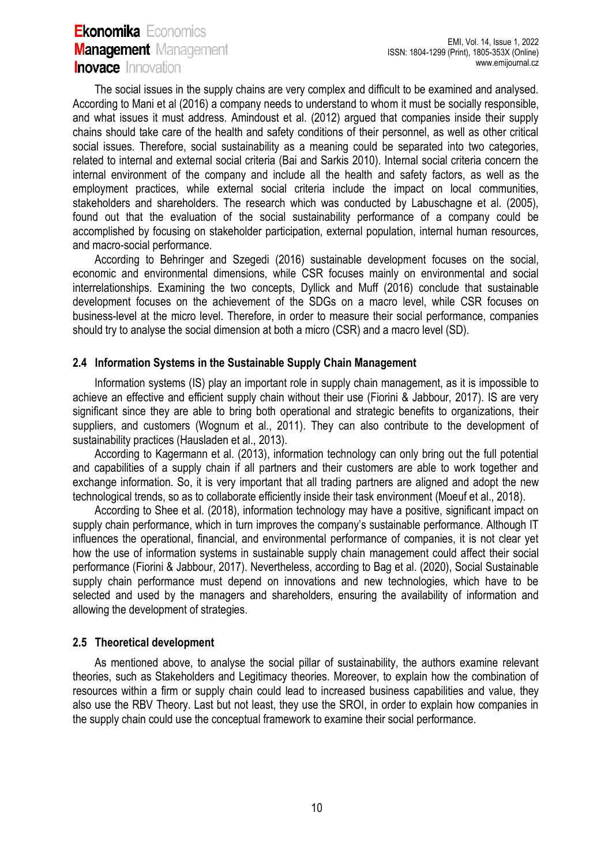The social issues in the supply chains are very complex and difficult to be examined and analysed. According to Mani et al (2016) a company needs to understand to whom it must be socially responsible, and what issues it must address. Amindoust et al. (2012) argued that companies inside their supply chains should take care of the health and safety conditions of their personnel, as well as other critical social issues. Therefore, social sustainability as a meaning could be separated into two categories, related to internal and external social criteria (Bai and Sarkis 2010). Internal social criteria concern the internal environment of the company and include all the health and safety factors, as well as the employment practices, while external social criteria include the impact on local communities, stakeholders and shareholders. The research which was conducted by Labuschagne et al. (2005), found out that the evaluation of the social sustainability performance of a company could be accomplished by focusing on stakeholder participation, external population, internal human resources, and macro-social performance.

According to Behringer and Szegedi (2016) sustainable development focuses on the social, economic and environmental dimensions, while CSR focuses mainly on environmental and social interrelationships. Examining the two concepts, Dyllick and Muff (2016) conclude that sustainable development focuses on the achievement of the SDGs on a macro level, while CSR focuses on business-level at the micro level. Therefore, in order to measure their social performance, companies should try to analyse the social dimension at both a micro (CSR) and a macro level (SD).

### **2.4 Information Systems in the Sustainable Supply Chain Management**

Information systems (IS) play an important role in supply chain management, as it is impossible to achieve an effective and efficient supply chain without their use (Fiorini & Jabbour, 2017). IS are very significant since they are able to bring both operational and strategic benefits to organizations, their suppliers, and customers (Wognum et al., 2011). They can also contribute to the development of sustainability practices (Hausladen et al., 2013).

According to Kagermann et al. (2013), information technology can only bring out the full potential and capabilities of a supply chain if all partners and their customers are able to work together and exchange information. So, it is very important that all trading partners are aligned and adopt the new technological trends, so as to collaborate efficiently inside their task environment (Moeuf et al., 2018).

According to Shee et al. (2018), information technology may have a positive, significant impact on supply chain performance, which in turn improves the company's sustainable performance. Although IT influences the operational, financial, and environmental performance of companies, it is not clear yet how the use of information systems in sustainable supply chain management could affect their social performance (Fiorini & Jabbour, 2017). Nevertheless, according to Bag et al. (2020), Social Sustainable supply chain performance must depend on innovations and new technologies, which have to be selected and used by the managers and shareholders, ensuring the availability of information and allowing the development of strategies.

## **2.5 Theoretical development**

As mentioned above, to analyse the social pillar of sustainability, the authors examine relevant theories, such as Stakeholders and Legitimacy theories. Moreover, to explain how the combination of resources within a firm or supply chain could lead to increased business capabilities and value, they also use the RBV Theory. Last but not least, they use the SROI, in order to explain how companies in the supply chain could use the conceptual framework to examine their social performance.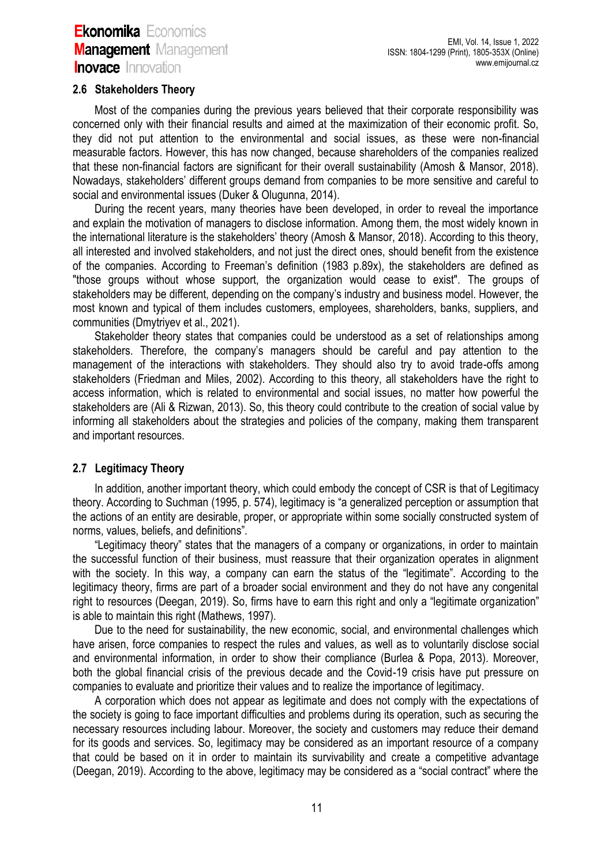### **2.6 Stakeholders Theory**

Most of the companies during the previous years believed that their corporate responsibility was concerned only with their financial results and aimed at the maximization of their economic profit. So, they did not put attention to the environmental and social issues, as these were non-financial measurable factors. However, this has now changed, because shareholders of the companies realized that these non-financial factors are significant for their overall sustainability (Amosh & Mansor, 2018). Nowadays, stakeholders' different groups demand from companies to be more sensitive and careful to social and environmental issues (Duker & Olugunna, 2014).

During the recent years, many theories have been developed, in order to reveal the importance and explain the motivation of managers to disclose information. Among them, the most widely known in the international literature is the stakeholders' theory (Amosh & Mansor, 2018). According to this theory, all interested and involved stakeholders, and not just the direct ones, should benefit from the existence of the companies. According to Freeman's definition (1983 p.89x), the stakeholders are defined as "those groups without whose support, the organization would cease to exist". The groups of stakeholders may be different, depending on the company's industry and business model. However, the most known and typical of them includes customers, employees, shareholders, banks, suppliers, and communities (Dmytriyev et al., 2021).

Stakeholder theory states that companies could be understood as a set of relationships among stakeholders. Therefore, the company's managers should be careful and pay attention to the management of the interactions with stakeholders. They should also try to avoid trade-offs among stakeholders (Friedman and Miles, 2002). According to this theory, all stakeholders have the right to access information, which is related to environmental and social issues, no matter how powerful the stakeholders are (Ali & Rizwan, 2013). So, this theory could contribute to the creation of social value by informing all stakeholders about the strategies and policies of the company, making them transparent and important resources.

## **2.7 Legitimacy Theory**

In addition, another important theory, which could embody the concept of CSR is that of Legitimacy theory. According to Suchman (1995, p. 574), legitimacy is "a generalized perception or assumption that the actions of an entity are desirable, proper, or appropriate within some socially constructed system of norms, values, beliefs, and definitions".

"Legitimacy theory" states that the managers of a company or organizations, in order to maintain the successful function of their business, must reassure that their organization operates in alignment with the society. In this way, a company can earn the status of the "legitimate". According to the legitimacy theory, firms are part of a broader social environment and they do not have any congenital right to resources (Deegan, 2019). So, firms have to earn this right and only a "legitimate organization" is able to maintain this right (Mathews, 1997).

Due to the need for sustainability, the new economic, social, and environmental challenges which have arisen, force companies to respect the rules and values, as well as to voluntarily disclose social and environmental information, in order to show their compliance (Burlea & Popa, 2013). Moreover, both the global financial crisis of the previous decade and the Covid-19 crisis have put pressure on companies to evaluate and prioritize their values and to realize the importance of legitimacy.

A corporation which does not appear as legitimate and does not comply with the expectations of the society is going to face important difficulties and problems during its operation, such as securing the necessary resources including labour. Moreover, the society and customers may reduce their demand for its goods and services. So, legitimacy may be considered as an important resource of a company that could be based on it in order to maintain its survivability and create a competitive advantage (Deegan, 2019). According to the above, legitimacy may be considered as a "social contract" where the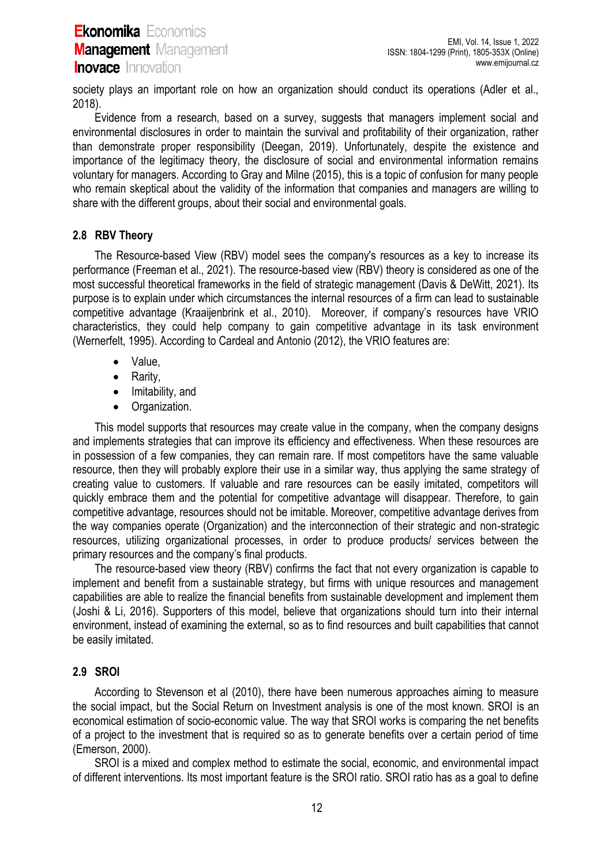society plays an important role on how an organization should conduct its operations (Adler et al., 2018).

Evidence from a research, based on a survey, suggests that managers implement social and environmental disclosures in order to maintain the survival and profitability of their organization, rather than demonstrate proper responsibility (Deegan, 2019). Unfortunately, despite the existence and importance of the legitimacy theory, the disclosure of social and environmental information remains voluntary for managers. According to Gray and Milne (2015), this is a topic of confusion for many people who remain skeptical about the validity of the information that companies and managers are willing to share with the different groups, about their social and environmental goals.

## **2.8 RBV Theory**

The Resource-based View (RBV) model sees the company's resources as a key to increase its performance (Freeman et al., 2021). The resource-based view (RBV) theory is considered as one of the most successful theoretical frameworks in the field of strategic management (Davis & DeWitt, 2021). Its purpose is to explain under which circumstances the internal resources of a firm can lead to sustainable competitive advantage (Kraaijenbrink et al., 2010). Moreover, if company's resources have VRIO characteristics, they could help company to gain competitive advantage in its task environment (Wernerfelt, 1995). According to Cardeal and Antonio (2012), the VRIO features are:

- Value,
- Rarity,
- Imitability, and
- Organization.

This model supports that resources may create value in the company, when the company designs and implements strategies that can improve its efficiency and effectiveness. When these resources are in possession of a few companies, they can remain rare. If most competitors have the same valuable resource, then they will probably explore their use in a similar way, thus applying the same strategy of creating value to customers. If valuable and rare resources can be easily imitated, competitors will quickly embrace them and the potential for competitive advantage will disappear. Therefore, to gain competitive advantage, resources should not be imitable. Moreover, competitive advantage derives from the way companies operate (Organization) and the interconnection of their strategic and non-strategic resources, utilizing organizational processes, in order to produce products/ services between the primary resources and the company's final products.

The resource-based view theory (RBV) confirms the fact that not every organization is capable to implement and benefit from a sustainable strategy, but firms with unique resources and management capabilities are able to realize the financial benefits from sustainable development and implement them (Joshi & Li, 2016). Supporters of this model, believe that organizations should turn into their internal environment, instead of examining the external, so as to find resources and built capabilities that cannot be easily imitated.

## **2.9 SROI**

According to Stevenson et al (2010), there have been numerous approaches aiming to measure the social impact, but the Social Return on Investment analysis is one of the most known. SROI is an economical estimation of socio-economic value. The way that SROI works is comparing the net benefits of a project to the investment that is required so as to generate benefits over a certain period of time (Emerson, 2000).

SROI is a mixed and complex method to estimate the social, economic, and environmental impact of different interventions. Its most important feature is the SROI ratio. SROI ratio has as a goal to define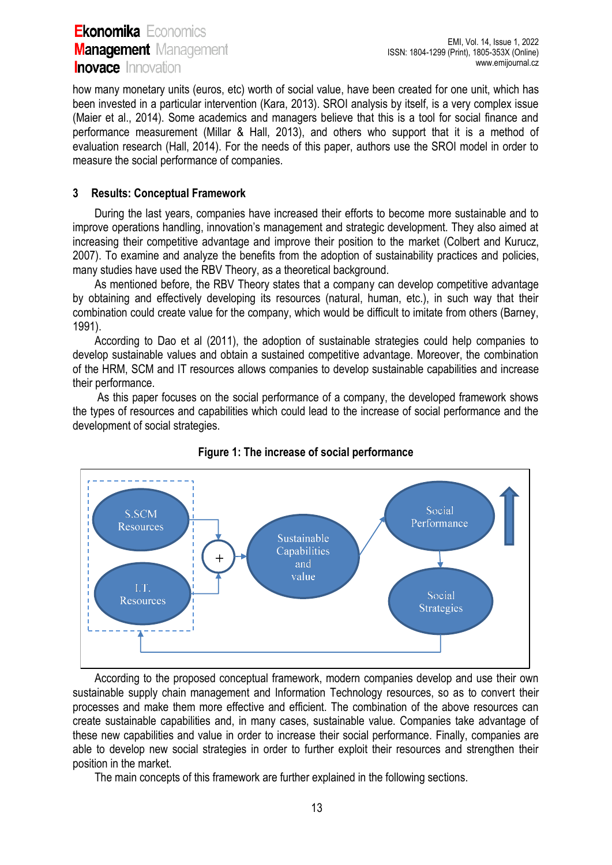how many monetary units (euros, etc) worth of social value, have been created for one unit, which has been invested in a particular intervention (Kara, 2013). SROI analysis by itself, is a very complex issue (Maier et al., 2014). Some academics and managers believe that this is a tool for social finance and performance measurement (Millar & Hall, 2013), and others who support that it is a method of evaluation research (Hall, 2014). For the needs of this paper, authors use the SROI model in order to measure the social performance of companies.

## **3 Results: Conceptual Framework**

During the last years, companies have increased their efforts to become more sustainable and to improve operations handling, innovation's management and strategic development. They also aimed at increasing their competitive advantage and improve their position to the market (Colbert and Kurucz, 2007). To examine and analyze the benefits from the adoption of sustainability practices and policies, many studies have used the RBV Theory, as a theoretical background.

As mentioned before, the RBV Theory states that a company can develop competitive advantage by obtaining and effectively developing its resources (natural, human, etc.), in such way that their combination could create value for the company, which would be difficult to imitate from others (Barney, 1991).

According to Dao et al (2011), the adoption of sustainable strategies could help companies to develop sustainable values and obtain a sustained competitive advantage. Moreover, the combination of the HRM, SCM and IT resources allows companies to develop sustainable capabilities and increase their performance.

As this paper focuses on the social performance of a company, the developed framework shows the types of resources and capabilities which could lead to the increase of social performance and the development of social strategies.



## **Figure 1: The increase of social performance**

According to the proposed conceptual framework, modern companies develop and use their own sustainable supply chain management and Information Technology resources, so as to convert their processes and make them more effective and efficient. The combination of the above resources can create sustainable capabilities and, in many cases, sustainable value. Companies take advantage of these new capabilities and value in order to increase their social performance. Finally, companies are able to develop new social strategies in order to further exploit their resources and strengthen their position in the market.

The main concepts of this framework are further explained in the following sections.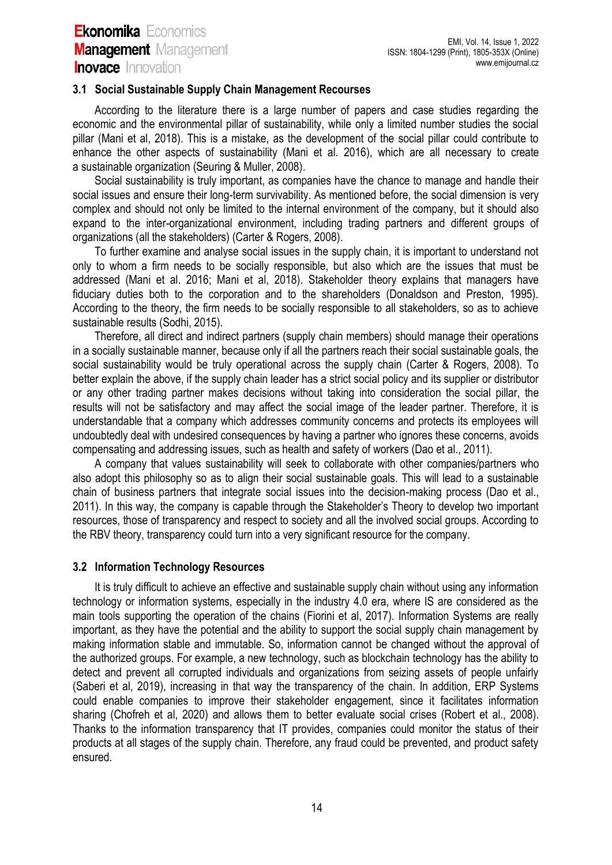### **3.1 Social Sustainable Supply Chain Management Recourses**

According to the literature there is a large number of papers and case studies regarding the economic and the environmental pillar of sustainability, while only a limited number studies the social pillar (Mani et al, 2018). This is a mistake, as the development of the social pillar could contribute to enhance the other aspects of sustainability (Mani et al. 2016), which are all necessary to create a sustainable organization (Seuring & Muller, 2008).

Social sustainability is truly important, as companies have the chance to manage and handle their social issues and ensure their long-term survivability. As mentioned before, the social dimension is very complex and should not only be limited to the internal environment of the company, but it should also expand to the inter-organizational environment, including trading partners and different groups of organizations (all the stakeholders) (Carter & Rogers, 2008).

To further examine and analyse social issues in the supply chain, it is important to understand not only to whom a firm needs to be socially responsible, but also which are the issues that must be addressed (Mani et al. 2016; Mani et al, 2018). Stakeholder theory explains that managers have fiduciary duties both to the corporation and to the shareholders (Donaldson and Preston, 1995). According to the theory, the firm needs to be socially responsible to all stakeholders, so as to achieve sustainable results (Sodhi, 2015).

Therefore, all direct and indirect partners (supply chain members) should manage their operations in a socially sustainable manner, because only if all the partners reach their social sustainable goals, the social sustainability would be truly operational across the supply chain (Carter & Rogers, 2008). To better explain the above, if the supply chain leader has a strict social policy and its supplier or distributor or any other trading partner makes decisions without taking into consideration the social pillar, the results will not be satisfactory and may affect the social image of the leader partner. Therefore, it is understandable that a company which addresses community concerns and protects its employees will undoubtedly deal with undesired consequences by having a partner who ignores these concerns, avoids compensating and addressing issues, such as health and safety of workers (Dao et al., 2011).

A company that values sustainability will seek to collaborate with other companies/partners who also adopt this philosophy so as to align their social sustainable goals. This will lead to a sustainable chain of business partners that integrate social issues into the decision-making process (Dao et al., 2011). In this way, the company is capable through the Stakeholder's Theory to develop two important resources, those of transparency and respect to society and all the involved social groups. According to the RBV theory, transparency could turn into a very significant resource for the company.

### **3.2 Information Technology Resources**

It is truly difficult to achieve an effective and sustainable supply chain without using any information technology or information systems, especially in the industry 4.0 era, where IS are considered as the main tools supporting the operation of the chains (Fiorini et al, 2017). Information Systems are really important, as they have the potential and the ability to support the social supply chain management by making information stable and immutable. So, information cannot be changed without the approval of the authorized groups. For example, a new technology, such as blockchain technology has the ability to detect and prevent all corrupted individuals and organizations from seizing assets of people unfairly (Saberi et al, 2019), increasing in that way the transparency of the chain. In addition, ERP Systems could enable companies to improve their stakeholder engagement, since it facilitates information sharing (Chofreh et al, 2020) and allows them to better evaluate social crises (Robert et al., 2008). Thanks to the information transparency that IT provides, companies could monitor the status of their products at all stages of the supply chain. Therefore, any fraud could be prevented, and product safety ensured.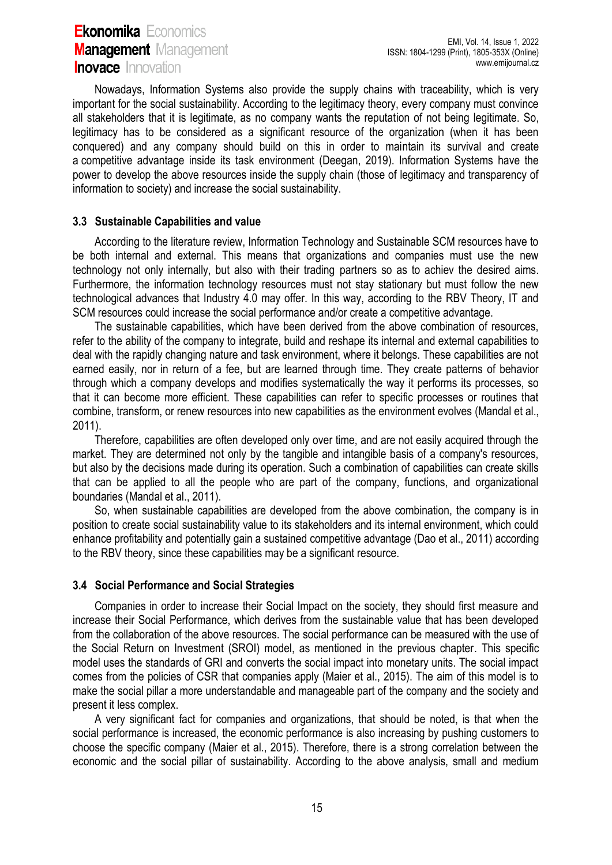Nowadays, Information Systems also provide the supply chains with traceability, which is very important for the social sustainability. According to the legitimacy theory, every company must convince all stakeholders that it is legitimate, as no company wants the reputation of not being legitimate. So, legitimacy has to be considered as a significant resource of the organization (when it has been conquered) and any company should build on this in order to maintain its survival and create a competitive advantage inside its task environment (Deegan, 2019). Information Systems have the power to develop the above resources inside the supply chain (those of legitimacy and transparency of information to society) and increase the social sustainability.

### **3.3 Sustainable Capabilities and value**

According to the literature review, Information Technology and Sustainable SCM resources have to be both internal and external. This means that organizations and companies must use the new technology not only internally, but also with their trading partners so as to achiev the desired aims. Furthermore, the information technology resources must not stay stationary but must follow the new technological advances that Industry 4.0 may offer. In this way, according to the RBV Theory, IT and SCM resources could increase the social performance and/or create a competitive advantage.

The sustainable capabilities, which have been derived from the above combination of resources, refer to the ability of the company to integrate, build and reshape its internal and external capabilities to deal with the rapidly changing nature and task environment, where it belongs. These capabilities are not earned easily, nor in return of a fee, but are learned through time. They create patterns of behavior through which a company develops and modifies systematically the way it performs its processes, so that it can become more efficient. These capabilities can refer to specific processes or routines that combine, transform, or renew resources into new capabilities as the environment evolves (Mandal et al., 2011).

Therefore, capabilities are often developed only over time, and are not easily acquired through the market. They are determined not only by the tangible and intangible basis of a company's resources, but also by the decisions made during its operation. Such a combination of capabilities can create skills that can be applied to all the people who are part of the company, functions, and organizational boundaries (Mandal et al., 2011).

So, when sustainable capabilities are developed from the above combination, the company is in position to create social sustainability value to its stakeholders and its internal environment, which could enhance profitability and potentially gain a sustained competitive advantage (Dao et al., 2011) according to the RBV theory, since these capabilities may be a significant resource.

### **3.4 Social Performance and Social Strategies**

Companies in order to increase their Social Impact on the society, they should first measure and increase their Social Performance, which derives from the sustainable value that has been developed from the collaboration of the above resources. The social performance can be measured with the use of the Social Return on Investment (SROI) model, as mentioned in the previous chapter. This specific model uses the standards of GRI and converts the social impact into monetary units. The social impact comes from the policies of CSR that companies apply (Maier et al., 2015). The aim of this model is to make the social pillar a more understandable and manageable part of the company and the society and present it less complex.

A very significant fact for companies and organizations, that should be noted, is that when the social performance is increased, the economic performance is also increasing by pushing customers to choose the specific company (Maier et al., 2015). Therefore, there is a strong correlation between the economic and the social pillar of sustainability. According to the above analysis, small and medium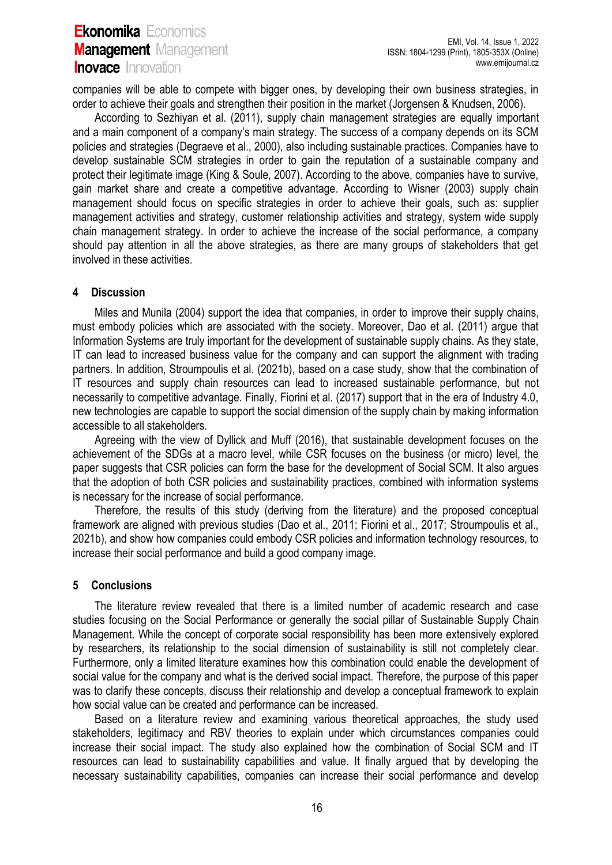companies will be able to compete with bigger ones, by developing their own business strategies, in order to achieve their goals and strengthen their position in the market (Jorgensen & Knudsen, 2006).

According to Sezhiyan et al. (2011), supply chain management strategies are equally important and a main component of a company's main strategy. The success of a company depends on its SCM policies and strategies (Degraeve et al., 2000), also including sustainable practices. Companies have to develop sustainable SCM strategies in order to gain the reputation of a sustainable company and protect their legitimate image (King & Soule, 2007). According to the above, companies have to survive, gain market share and create a competitive advantage. According to Wisner (2003) supply chain management should focus on specific strategies in order to achieve their goals, such as: supplier management activities and strategy, customer relationship activities and strategy, system wide supply chain management strategy. In order to achieve the increase of the social performance, a company should pay attention in all the above strategies, as there are many groups of stakeholders that get involved in these activities.

### **4 Discussion**

Miles and Munila (2004) support the idea that companies, in order to improve their supply chains, must embody policies which are associated with the society. Moreover, Dao et al. (2011) argue that Information Systems are truly important for the development of sustainable supply chains. As they state, IT can lead to increased business value for the company and can support the alignment with trading partners. In addition, Stroumpoulis et al. (2021b), based on a case study, show that the combination of IT resources and supply chain resources can lead to increased sustainable performance, but not necessarily to competitive advantage. Finally, Fiorini et al. (2017) support that in the era of Industry 4.0, new technologies are capable to support the social dimension of the supply chain by making information accessible to all stakeholders.

Agreeing with the view of Dyllick and Muff (2016), that sustainable development focuses on the achievement of the SDGs at a macro level, while CSR focuses on the business (or micro) level, the paper suggests that CSR policies can form the base for the development of Social SCM. It also argues that the adoption of both CSR policies and sustainability practices, combined with information systems is necessary for the increase of social performance.

Therefore, the results of this study (deriving from the literature) and the proposed conceptual framework are aligned with previous studies (Dao et al., 2011; Fiorini et al., 2017; Stroumpoulis et al., 2021b), and show how companies could embody CSR policies and information technology resources, to increase their social performance and build a good company image.

## **5 Conclusions**

The literature review revealed that there is a limited number of academic research and case studies focusing on the Social Performance or generally the social pillar of Sustainable Supply Chain Management. While the concept of corporate social responsibility has been more extensively explored by researchers, its relationship to the social dimension of sustainability is still not completely clear. Furthermore, only a limited literature examines how this combination could enable the development of social value for the company and what is the derived social impact. Therefore, the purpose of this paper was to clarify these concepts, discuss their relationship and develop a conceptual framework to explain how social value can be created and performance can be increased.

Based on a literature review and examining various theoretical approaches, the study used stakeholders, legitimacy and RBV theories to explain under which circumstances companies could increase their social impact. The study also explained how the combination of Social SCM and IT resources can lead to sustainability capabilities and value. It finally argued that by developing the necessary sustainability capabilities, companies can increase their social performance and develop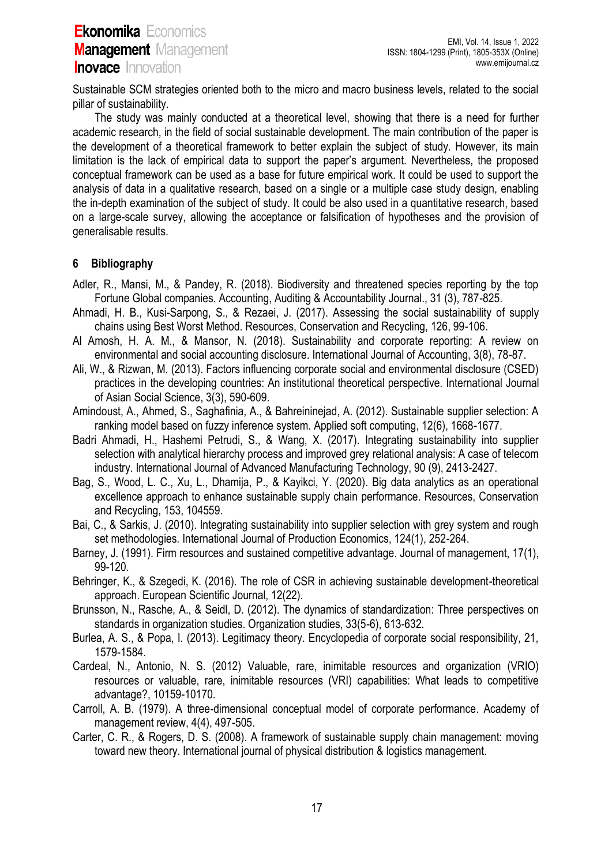Sustainable SCM strategies oriented both to the micro and macro business levels, related to the social pillar of sustainability.

The study was mainly conducted at a theoretical level, showing that there is a need for further academic research, in the field of social sustainable development. The main contribution of the paper is the development of a theoretical framework to better explain the subject of study. However, its main limitation is the lack of empirical data to support the paper's argument. Nevertheless, the proposed conceptual framework can be used as a base for future empirical work. It could be used to support the analysis of data in a qualitative research, based on a single or a multiple case study design, enabling the in-depth examination of the subject of study. It could be also used in a quantitative research, based on a large-scale survey, allowing the acceptance or falsification of hypotheses and the provision of generalisable results.

## **6 Bibliography**

- Adler, R., Mansi, M., & Pandey, R. (2018). Biodiversity and threatened species reporting by the top Fortune Global companies. Accounting, Auditing & Accountability Journal., 31 (3), 787-825.
- Ahmadi, H. B., Kusi-Sarpong, S., & Rezaei, J. (2017). Assessing the social sustainability of supply chains using Best Worst Method. Resources, Conservation and Recycling, 126, 99-106.
- Al Amosh, H. A. M., & Mansor, N. (2018). Sustainability and corporate reporting: A review on environmental and social accounting disclosure. International Journal of Accounting, 3(8), 78-87.
- Ali, W., & Rizwan, M. (2013). Factors influencing corporate social and environmental disclosure (CSED) practices in the developing countries: An institutional theoretical perspective. International Journal of Asian Social Science, 3(3), 590-609.
- Amindoust, A., Ahmed, S., Saghafinia, A., & Bahreininejad, A. (2012). Sustainable supplier selection: A ranking model based on fuzzy inference system. Applied soft computing, 12(6), 1668-1677.
- Badri Ahmadi, H., Hashemi Petrudi, S., & Wang, X. (2017). Integrating sustainability into supplier selection with analytical hierarchy process and improved grey relational analysis: A case of telecom industry. International Journal of Advanced Manufacturing Technology, 90 (9), 2413-2427.
- Bag, S., Wood, L. C., Xu, L., Dhamija, P., & Kayikci, Y. (2020). Big data analytics as an operational excellence approach to enhance sustainable supply chain performance. Resources, Conservation and Recycling, 153, 104559.
- Bai, C., & Sarkis, J. (2010). Integrating sustainability into supplier selection with grey system and rough set methodologies. International Journal of Production Economics, 124(1), 252-264.
- Barney, J. (1991). Firm resources and sustained competitive advantage. Journal of management, 17(1), 99-120.
- Behringer, K., & Szegedi, K. (2016). The role of CSR in achieving sustainable development-theoretical approach. European Scientific Journal, 12(22).
- Brunsson, N., Rasche, A., & Seidl, D. (2012). The dynamics of standardization: Three perspectives on standards in organization studies. Organization studies, 33(5-6), 613-632.
- Burlea, A. S., & Popa, I. (2013). Legitimacy theory. Encyclopedia of corporate social responsibility, 21, 1579-1584.
- Cardeal, N., Antonio, N. S. (2012) Valuable, rare, inimitable resources and organization (VRIO) resources or valuable, rare, inimitable resources (VRI) capabilities: What leads to competitive advantage?, 10159-10170.
- Carroll, A. B. (1979). A three-dimensional conceptual model of corporate performance. Academy of management review, 4(4), 497-505.
- Carter, C. R., & Rogers, D. S. (2008). A framework of sustainable supply chain management: moving toward new theory. International journal of physical distribution & logistics management.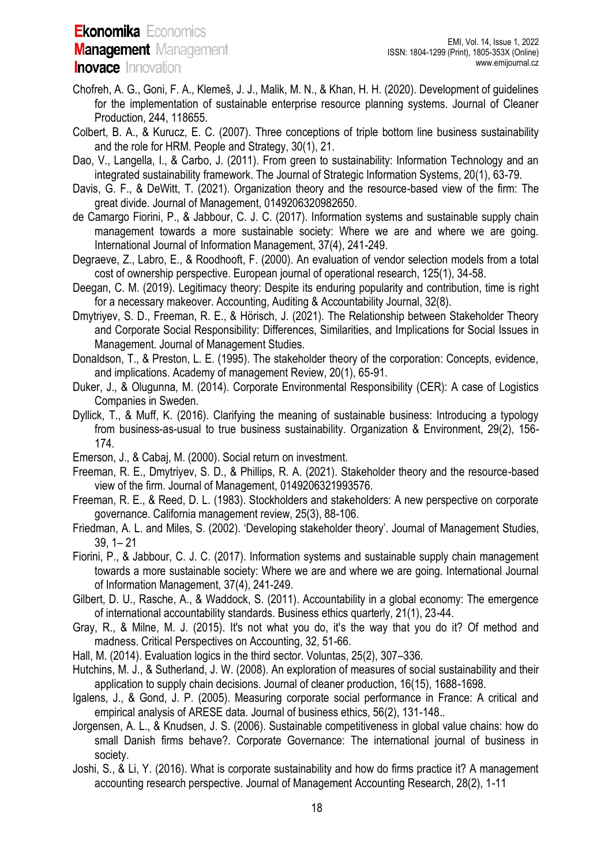- Chofreh, A. G., Goni, F. A., Klemeš, J. J., Malik, M. N., & Khan, H. H. (2020). Development of guidelines for the implementation of sustainable enterprise resource planning systems. Journal of Cleaner Production, 244, 118655.
- Colbert, B. A., & Kurucz, E. C. (2007). Three conceptions of triple bottom line business sustainability and the role for HRM. People and Strategy, 30(1), 21.
- Dao, V., Langella, I., & Carbo, J. (2011). From green to sustainability: Information Technology and an integrated sustainability framework. The Journal of Strategic Information Systems, 20(1), 63-79.
- Davis, G. F., & DeWitt, T. (2021). Organization theory and the resource-based view of the firm: The great divide. Journal of Management, 0149206320982650.
- de Camargo Fiorini, P., & Jabbour, C. J. C. (2017). Information systems and sustainable supply chain management towards a more sustainable society: Where we are and where we are going. International Journal of Information Management, 37(4), 241-249.
- Degraeve, Z., Labro, E., & Roodhooft, F. (2000). An evaluation of vendor selection models from a total cost of ownership perspective. European journal of operational research, 125(1), 34-58.
- Deegan, C. M. (2019). Legitimacy theory: Despite its enduring popularity and contribution, time is right for a necessary makeover. Accounting, Auditing & Accountability Journal, 32(8).
- Dmytriyev, S. D., Freeman, R. E., & Hörisch, J. (2021). The Relationship between Stakeholder Theory and Corporate Social Responsibility: Differences, Similarities, and Implications for Social Issues in Management. Journal of Management Studies.
- Donaldson, T., & Preston, L. E. (1995). The stakeholder theory of the corporation: Concepts, evidence, and implications. Academy of management Review, 20(1), 65-91.
- Duker, J., & Olugunna, M. (2014). Corporate Environmental Responsibility (CER): A case of Logistics Companies in Sweden.
- Dyllick, T., & Muff, K. (2016). Clarifying the meaning of sustainable business: Introducing a typology from business-as-usual to true business sustainability. Organization & Environment, 29(2), 156- 174.
- Emerson, J., & Cabaj, M. (2000). Social return on investment.
- Freeman, R. E., Dmytriyev, S. D., & Phillips, R. A. (2021). Stakeholder theory and the resource-based view of the firm. Journal of Management, 0149206321993576.
- Freeman, R. E., & Reed, D. L. (1983). Stockholders and stakeholders: A new perspective on corporate governance. California management review, 25(3), 88-106.
- Friedman, A. L. and Miles, S. (2002). 'Developing stakeholder theory'. Journal of Management Studies, 39, 1– 21
- Fiorini, P., & Jabbour, C. J. C. (2017). Information systems and sustainable supply chain management towards a more sustainable society: Where we are and where we are going. International Journal of Information Management, 37(4), 241-249.
- Gilbert, D. U., Rasche, A., & Waddock, S. (2011). Accountability in a global economy: The emergence of international accountability standards. Business ethics quarterly, 21(1), 23-44.
- Gray, R., & Milne, M. J. (2015). It's not what you do, it's the way that you do it? Of method and madness. Critical Perspectives on Accounting, 32, 51-66.
- Hall, M. (2014). Evaluation logics in the third sector. Voluntas, 25(2), 307–336.
- Hutchins, M. J., & Sutherland, J. W. (2008). An exploration of measures of social sustainability and their application to supply chain decisions. Journal of cleaner production, 16(15), 1688-1698.
- Igalens, J., & Gond, J. P. (2005). Measuring corporate social performance in France: A critical and empirical analysis of ARESE data. Journal of business ethics, 56(2), 131-148..
- Jorgensen, A. L., & Knudsen, J. S. (2006). Sustainable competitiveness in global value chains: how do small Danish firms behave?. Corporate Governance: The international journal of business in society.
- Joshi, S., & Li, Y. (2016). What is corporate sustainability and how do firms practice it? A management accounting research perspective. Journal of Management Accounting Research, 28(2), 1-11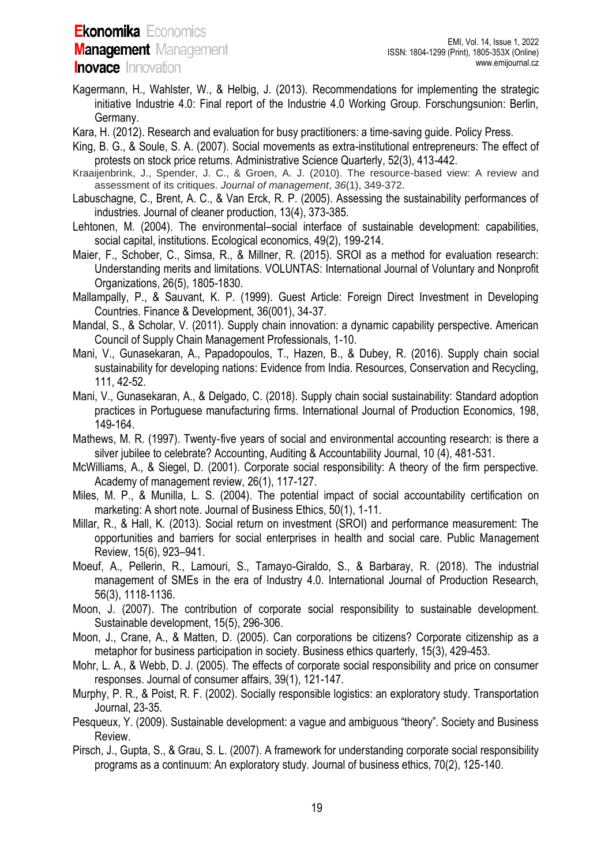- Kagermann, H., Wahlster, W., & Helbig, J. (2013). Recommendations for implementing the strategic initiative Industrie 4.0: Final report of the Industrie 4.0 Working Group. Forschungsunion: Berlin, Germany.
- Kara, H. (2012). Research and evaluation for busy practitioners: a time-saving guide. Policy Press.
- King, B. G., & Soule, S. A. (2007). Social movements as extra-institutional entrepreneurs: The effect of protests on stock price returns. Administrative Science Quarterly, 52(3), 413-442.
- Kraaijenbrink, J., Spender, J. C., & Groen, A. J. (2010). The resource-based view: A review and assessment of its critiques. *Journal of management*, *36*(1), 349-372.
- Labuschagne, C., Brent, A. C., & Van Erck, R. P. (2005). Assessing the sustainability performances of industries. Journal of cleaner production, 13(4), 373-385.
- Lehtonen, M. (2004). The environmental–social interface of sustainable development: capabilities, social capital, institutions. Ecological economics, 49(2), 199-214.
- Maier, F., Schober, C., Simsa, R., & Millner, R. (2015). SROI as a method for evaluation research: Understanding merits and limitations. VOLUNTAS: International Journal of Voluntary and Nonprofit Organizations, 26(5), 1805-1830.

Mallampally, P., & Sauvant, K. P. (1999). Guest Article: Foreign Direct Investment in Developing Countries. Finance & Development, 36(001), 34-37.

- Mandal, S., & Scholar, V. (2011). Supply chain innovation: a dynamic capability perspective. American Council of Supply Chain Management Professionals, 1-10.
- Mani, V., Gunasekaran, A., Papadopoulos, T., Hazen, B., & Dubey, R. (2016). Supply chain social sustainability for developing nations: Evidence from India. Resources, Conservation and Recycling, 111, 42-52.
- Mani, V., Gunasekaran, A., & Delgado, C. (2018). Supply chain social sustainability: Standard adoption practices in Portuguese manufacturing firms. International Journal of Production Economics, 198, 149-164.
- Mathews, M. R. (1997). Twenty-five years of social and environmental accounting research: is there a silver jubilee to celebrate? Accounting, Auditing & Accountability Journal, 10 (4), 481-531.
- McWilliams, A., & Siegel, D. (2001). Corporate social responsibility: A theory of the firm perspective. Academy of management review, 26(1), 117-127.
- Miles, M. P., & Munilla, L. S. (2004). The potential impact of social accountability certification on marketing: A short note. Journal of Business Ethics, 50(1), 1-11.
- Millar, R., & Hall, K. (2013). Social return on investment (SROI) and performance measurement: The opportunities and barriers for social enterprises in health and social care. Public Management Review, 15(6), 923–941.
- Moeuf, A., Pellerin, R., Lamouri, S., Tamayo-Giraldo, S., & Barbaray, R. (2018). The industrial management of SMEs in the era of Industry 4.0. International Journal of Production Research, 56(3), 1118-1136.
- Moon, J. (2007). The contribution of corporate social responsibility to sustainable development. Sustainable development, 15(5), 296-306.
- Moon, J., Crane, A., & Matten, D. (2005). Can corporations be citizens? Corporate citizenship as a metaphor for business participation in society. Business ethics quarterly, 15(3), 429-453.
- Mohr, L. A., & Webb, D. J. (2005). The effects of corporate social responsibility and price on consumer responses. Journal of consumer affairs, 39(1), 121-147.
- Murphy, P. R., & Poist, R. F. (2002). Socially responsible logistics: an exploratory study. Transportation Journal, 23-35.
- Pesqueux, Y. (2009). Sustainable development: a vague and ambiguous "theory". Society and Business Review.
- Pirsch, J., Gupta, S., & Grau, S. L. (2007). A framework for understanding corporate social responsibility programs as a continuum: An exploratory study. Journal of business ethics, 70(2), 125-140.